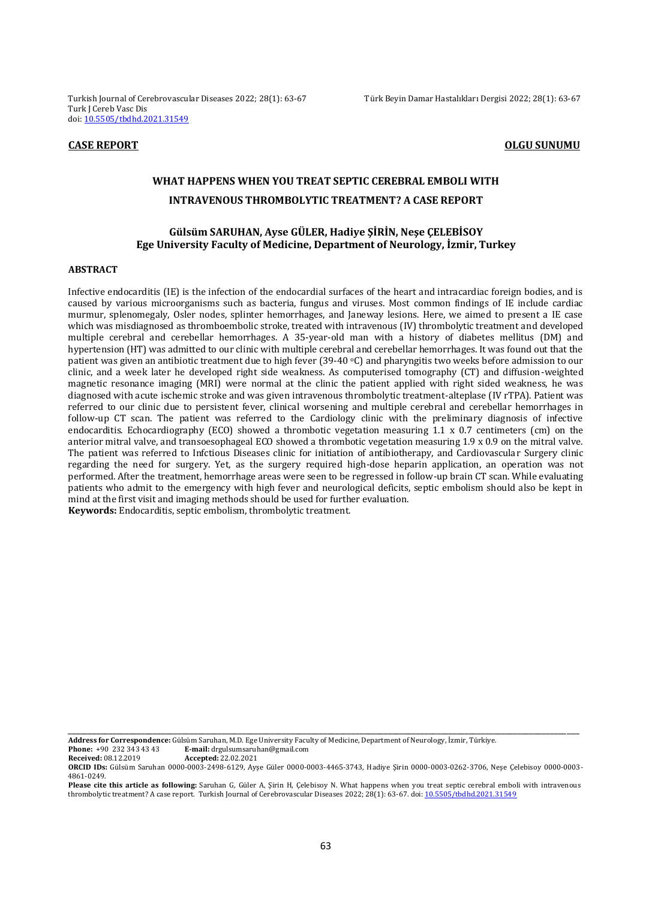Turkish Journal of Cerebrovascular Diseases 2022; 28(1): 63-67 Türk Beyin Damar Hastalıkları Dergisi 2022; 28(1): 63-67 Turk J Cereb Vasc Dis doi: [10.5505/tbdhd.2021.31549](https://dx.doi.org/10.5505/tbdhd.2021.31549)

#### **CASE REPORT CONSUMING SUNUMU**

# **WHAT HAPPENS WHEN YOU TREAT SEPTIC CEREBRAL EMBOLI WITH INTRAVENOUS THROMBOLYTIC TREATMENT? A CASE REPORT**

# **Gülsüm SARUHAN, Ayse GÜLER, Hadiye ŞİRİN, Neşe ÇELEBİSOY Ege University Faculty of Medicine, Department of Neurology, İzmir, Turkey**

#### **ABSTRACT**

Infective endocarditis (IE) is the infection of the endocardial surfaces of the heart and intracardiac foreign bodies, and is caused by various microorganisms such as bacteria, fungus and viruses. Most common findings of IE include cardiac murmur, splenomegaly, Osler nodes, splinter hemorrhages, and Janeway lesions. Here, we aimed to present a IE case which was misdiagnosed as thromboembolic stroke, treated with intravenous (IV) thrombolytic treatment and developed multiple cerebral and cerebellar hemorrhages. A 35-year-old man with a history of diabetes mellitus (DM) and hypertension (HT) was admitted to our clinic with multiple cerebral and cerebellar hemorrhages. It was found out that the patient was given an antibiotic treatment due to high fever (39-40 °C) and pharyngitis two weeks before admission to our clinic, and a week later he developed right side weakness. As computerised tomography (CT) and diffusion-weighted magnetic resonance imaging (MRI) were normal at the clinic the patient applied with right sided weakness, he was diagnosed with acute ischemic stroke and was given intravenous thrombolytic treatment-alteplase (IV rTPA). Patient was referred to our clinic due to persistent fever, clinical worsening and multiple cerebral and cerebellar hemorrhages in follow-up CT scan. The patient was referred to the Cardiology clinic with the preliminary diagnosis of infective endocarditis. Echocardiography (ECO) showed a thrombotic vegetation measuring 1.1 x 0.7 centimeters (cm) on the anterior mitral valve, and transoesophageal ECO showed a thrombotic vegetation measuring 1.9 x 0.9 on the mitral valve. The patient was referred to Infctious Diseases clinic for initiation of antibiotherapy, and Cardiovascular Surgery clinic regarding the need for surgery. Yet, as the surgery required high-dose heparin application, an operation was not performed. After the treatment, hemorrhage areas were seen to be regressed in follow-up brain CT scan. While evaluating patients who admit to the emergency with high fever and neurological deficits, septic embolism should also be kept in mind at the first visit and imaging methods should be used for further evaluation. **Keywords:** Endocarditis, septic embolism, thrombolytic treatment.

**Address for Correspondence:** Gülsüm Saruhan, M.D. Ege University Faculty of Medicine, Department of Neurology, İzmir, Türkiye.

**Phone:** +90 232 343 43 **E-mail:** drgulsumsaruhan@gmail.com<br>**Received:** 08.12.2019 **Accepted:** 22.02.2021 **Received:** 08.12.2019 **Accepted:** 22.02.2021

**ORCID IDs:** Gülsüm Saruhan 0000-0003-2498-6129, Ayşe Güler 0000-0003-4465-3743, Hadiye Şirin 0000-0003-0262-3706, Neşe Çelebisoy 0000-0003- 4861-0249.

\_\_\_\_\_\_\_\_\_\_\_\_\_\_\_\_\_\_\_\_\_\_\_\_\_\_\_\_\_\_\_\_\_\_\_\_\_\_\_\_\_\_\_\_\_\_\_\_\_\_\_\_\_\_\_\_\_\_\_\_\_\_\_\_\_\_\_\_\_\_\_\_\_\_\_\_\_\_\_\_\_\_\_\_\_\_\_\_\_\_\_\_\_\_\_\_\_\_\_\_\_\_\_\_\_\_\_\_\_\_\_\_\_\_\_\_\_\_\_\_\_\_\_\_\_\_

**Please cite this article as following:** Saruhan G, Güler A, Şirin H, Çelebisoy N. What happens when you treat septic cerebral emboli with intravenous thrombolytic treatment? A case report. Turkish Journal of Cerebrovascular Diseases 2022; 28(1): 63-67. doi[: 10.5505/tbdhd.2021.31549](https://dx.doi.org/10.5505/tbdhd.2021.31549)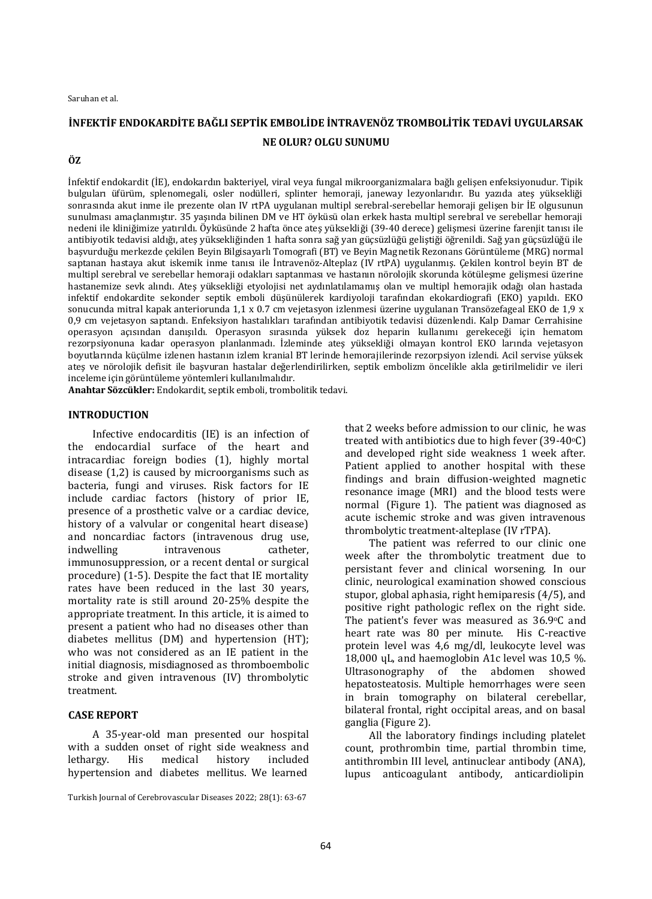#### Saruhan et al.

# **İNFEKTİF ENDOKARDİTE BAĞLI SEPTİK EMBOLİDE İNTRAVENÖZ TROMBOLİTİK TEDAVİ UYGULARSAK NE OLUR? OLGU SUNUMU**

## **ÖZ**

İnfektif endokardit (İE), endokardın bakteriyel, viral veya fungal mikroorganizmalara bağlı gelişen enfeksiyonudur. Tipik bulguları üfürüm, splenomegali, osler nodülleri, splinter hemoraji, janeway lezyonlarıdır. Bu yazıda ateş yüksekliği sonrasında akut inme ile prezente olan IV rtPA uygulanan multipl serebral-serebellar hemoraji gelişen bir İE olgusunun sunulması amaçlanmıştır. 35 yaşında bilinen DM ve HT öyküsü olan erkek hasta multipl serebral ve serebellar hemoraji nedeni ile kliniğimize yatırıldı. Öyküsünde 2 hafta önce ateş yüksekliği (39-40 derece) gelişmesi üzerine farenjit tanısı ile antibiyotik tedavisi aldığı, ateş yüksekliğinden 1 hafta sonra sağ yan güçsüzlüğü geliştiği öğrenildi. Sağ yan güçsüzlüğü ile başvurduğu merkezde çekilen Beyin Bilgisayarlı Tomografi (BT) ve Beyin Magnetik Rezonans Görüntüleme (MRG) normal saptanan hastaya akut iskemik inme tanısı ile İntravenöz-Alteplaz (IV rtPA) uygulanmış. Çekilen kontrol beyin BT de multipl serebral ve serebellar hemoraji odakları saptanması ve hastanın nörolojik skorunda kötüleşme gelişmesi üzerine hastanemize sevk alındı. Ateş yüksekliği etyolojisi net aydınlatılamamış olan ve multipl hemorajik odağı olan hastada infektif endokardite sekonder septik emboli düşünülerek kardiyoloji tarafından ekokardiografi (EKO) yapıldı. EKO sonucunda mitral kapak anteriorunda 1,1 x 0.7 cm vejetasyon izlenmesi üzerine uygulanan Transözefageal EKO de 1,9 x 0,9 cm vejetasyon saptandı. Enfeksiyon hastalıkları tarafından antibiyotik tedavisi düzenlendi. Kalp Damar Cerrahisine operasyon açısından danışıldı. Operasyon sırasında yüksek doz heparin kullanımı gerekeceği için hematom rezorpsiyonuna kadar operasyon planlanmadı. İzleminde ateş yüksekliği olmayan kontrol EKO larında vejetasyon boyutlarında küçülme izlenen hastanın izlem kranial BT lerinde hemorajilerinde rezorpsiyon izlendi. Acil servise yüksek ateş ve nörolojik defisit ile başvuran hastalar değerlendirilirken, septik embolizm öncelikle akla getirilmelidir ve ileri inceleme için görüntüleme yöntemleri kullanılmalıdır.

**Anahtar Sözcükler:** Endokardit, septik emboli, trombolitik tedavi.

# **INTRODUCTION**

Infective endocarditis (IE) is an infection of the endocardial surface of the heart and intracardiac foreign bodies (1), highly mortal disease (1,2) is caused by microorganisms such as bacteria, fungi and viruses. Risk factors for IE include cardiac factors (history of prior IE, presence of a prosthetic valve or a cardiac device, history of a valvular or congenital heart disease) and noncardiac factors (intravenous drug use, indwelling intravenous catheter, immunosuppression, or a recent dental or surgical procedure) (1-5). Despite the fact that IE mortality rates have been reduced in the last 30 years, mortality rate is still around 20-25% despite the appropriate treatment. In this article, it is aimed to present a patient who had no diseases other than diabetes mellitus (DM) and hypertension (HT); who was not considered as an IE patient in the initial diagnosis, misdiagnosed as thromboembolic stroke and given intravenous (IV) thrombolytic treatment.

# **CASE REPORT**

A 35-year-old man presented our hospital with a sudden onset of right side weakness and lethargy. His medical history included hypertension and diabetes mellitus. We learned

that 2 weeks before admission to our clinic, he was treated with antibiotics due to high fever  $(39-40°C)$ and developed right side weakness 1 week after. Patient applied to another hospital with these findings and brain diffusion-weighted magnetic resonance image (MRI) and the blood tests were normal (Figure 1). The patient was diagnosed as acute ischemic stroke and was given intravenous thrombolytic treatment-alteplase (IV rTPA).

The patient was referred to our clinic one week after the thrombolytic treatment due to persistant fever and clinical worsening. In our clinic, neurological examination showed conscious stupor, global aphasia, right hemiparesis (4/5), and positive right pathologic reflex on the right side. The patient's fever was measured as 36.9°C and heart rate was 80 per minute. His C-reactive protein level was 4,6 mg/dl, leukocyte level was 18,000 ɥL, and haemoglobin A1c level was 10,5 %. Ultrasonography of the abdomen showed hepatosteatosis. Multiple hemorrhages were seen in brain tomography on bilateral cerebellar, bilateral frontal, right occipital areas, and on basal ganglia (Figure 2).

All the laboratory findings including platelet count, prothrombin time, partial thrombin time, antithrombin III level, antinuclear antibody (ANA), lupus anticoagulant antibody, anticardiolipin

Turkish Journal of Cerebrovascular Diseases 2022; 28(1): 63-67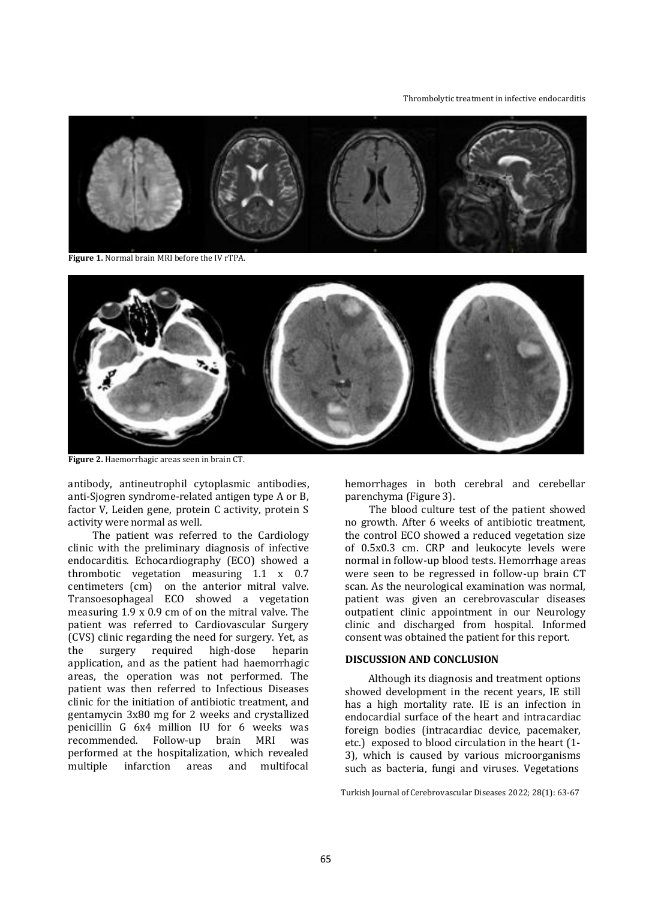#### Thrombolytic treatment in infective endocarditis



**Figure 1.** Normal brain MRI before the IV rTPA.



**Figure 2.** Haemorrhagic areas seen in brain CT.

antibody, antineutrophil cytoplasmic antibodies, anti-Sjogren syndrome-related antigen type A or B, factor V, Leiden gene, protein C activity, protein S activity were normal as well.

The patient was referred to the Cardiology clinic with the preliminary diagnosis of infective endocarditis. Echocardiography (ECO) showed a thrombotic vegetation measuring 1.1 x 0.7 centimeters (cm) on the anterior mitral valve. Transoesophageal ECO showed a vegetation measuring 1.9 x 0.9 cm of on the mitral valve. The patient was referred to Cardiovascular Surgery (CVS) clinic regarding the need for surgery. Yet, as the surgery required high-dose heparin application, and as the patient had haemorrhagic areas, the operation was not performed. The patient was then referred to Infectious Diseases clinic for the initiation of antibiotic treatment, and gentamycin 3x80 mg for 2 weeks and crystallized penicillin G 6x4 million IU for 6 weeks was recommended. Follow-up brain MRI was performed at the hospitalization, which revealed multiple infarction areas and multifocal

hemorrhages in both cerebral and cerebellar parenchyma (Figure 3).

The blood culture test of the patient showed no growth. After 6 weeks of antibiotic treatment, the control ECO showed a reduced vegetation size of 0.5x0.3 cm. CRP and leukocyte levels were normal in follow-up blood tests. Hemorrhage areas were seen to be regressed in follow-up brain CT scan. As the neurological examination was normal, patient was given an cerebrovascular diseases outpatient clinic appointment in our Neurology clinic and discharged from hospital. Informed consent was obtained the patient for this report.

# **DISCUSSION AND CONCLUSION**

Although its diagnosis and treatment options showed development in the recent years, IE still has a high mortality rate. IE is an infection in endocardial surface of the heart and intracardiac foreign bodies (intracardiac device, pacemaker, etc.) exposed to blood circulation in the heart (1- 3), which is caused by various microorganisms such as bacteria, fungi and viruses. Vegetations

Turkish Journal of Cerebrovascular Diseases 2022; 28(1): 63-67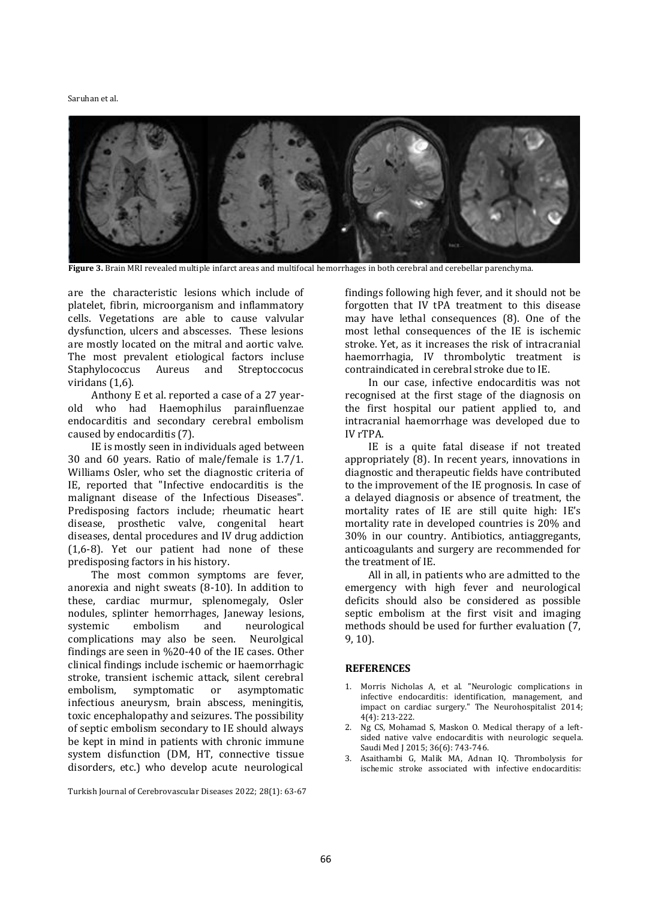#### Saruhan et al.



**Figure 3.** Brain MRI revealed multiple infarct areas and multifocal hemorrhages in both cerebral and cerebellar parenchyma.

are the characteristic lesions which include of platelet, fibrin, microorganism and inflammatory cells. Vegetations are able to cause valvular dysfunction, ulcers and abscesses. These lesions are mostly located on the mitral and aortic valve. The most prevalent etiological factors incluse Staphylococcus Aureus and Streptoccocus viridans (1,6).

Anthony E et al. reported a case of a 27 yearold who had Haemophilus parainfluenzae endocarditis and secondary cerebral embolism caused by endocarditis (7).

IE is mostly seen in individuals aged between 30 and 60 years. Ratio of male/female is 1.7/1. Williams Osler, who set the diagnostic criteria of IE, reported that "Infective endocarditis is the malignant disease of the Infectious Diseases". Predisposing factors include; rheumatic heart disease, prosthetic valve, congenital heart diseases, dental procedures and IV drug addiction (1,6-8). Yet our patient had none of these predisposing factors in his history.

The most common symptoms are fever, anorexia and night sweats (8-10). In addition to these, cardiac murmur, splenomegaly, Osler nodules, splinter hemorrhages, Janeway lesions, systemic embolism and neurological complications may also be seen. Neurolgical findings are seen in %20-40 of the IE cases. Other clinical findings include ischemic or haemorrhagic stroke, transient ischemic attack, silent cerebral embolism, symptomatic or asymptomatic infectious aneurysm, brain abscess, meningitis, toxic encephalopathy and seizures. The possibility of septic embolism secondary to IE should always be kept in mind in patients with chronic immune system disfunction (DM, HT, connective tissue disorders, etc.) who develop acute neurological

Turkish Journal of Cerebrovascular Diseases 2022; 28(1): 63-67

findings following high fever, and it should not be forgotten that IV tPA treatment to this disease may have lethal consequences (8). One of the most lethal consequences of the IE is ischemic stroke. Yet, as it increases the risk of intracranial haemorrhagia, IV thrombolytic treatment is contraindicated in cerebral stroke due to IE.

In our case, infective endocarditis was not recognised at the first stage of the diagnosis on the first hospital our patient applied to, and intracranial haemorrhage was developed due to IV rTPA.

IE is a quite fatal disease if not treated appropriately (8). In recent years, innovations in diagnostic and therapeutic fields have contributed to the improvement of the IE prognosis. In case of a delayed diagnosis or absence of treatment, the mortality rates of IE are still quite high: IE's mortality rate in developed countries is 20% and 30% in our country. Antibiotics, antiaggregants, anticoagulants and surgery are recommended for the treatment of IE.

All in all, in patients who are admitted to the emergency with high fever and neurological deficits should also be considered as possible septic embolism at the first visit and imaging methods should be used for further evaluation (7, 9, 10).

### **REFERENCES**

- 1. Morris Nicholas A, et al. "Neurologic complications in infective endocarditis: identification, management, and impact on cardiac surgery." The Neurohospitalist 2014; 4(4): 213-222.
- 2. Ng CS, Mohamad S, Maskon O. Medical therapy of a leftsided native valve endocarditis with neurologic sequela. Saudi Med J 2015; 36(6): 743-746.
- 3. Asaithambi G, Malik MA, Adnan IQ. Thrombolysis for ischemic stroke associated with infective endocarditis: